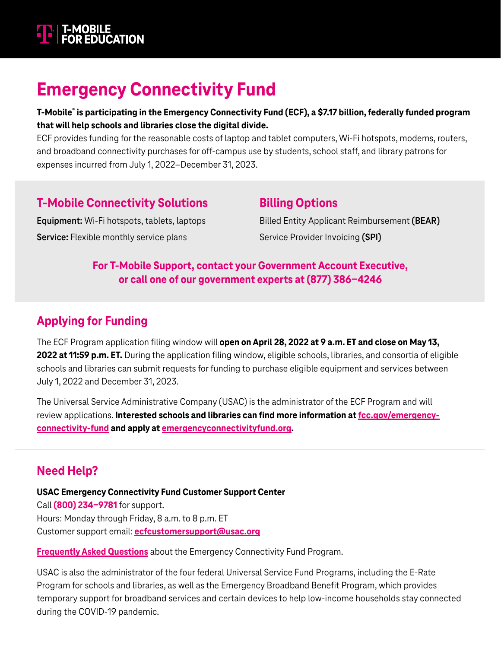

## **Emergency Connectivity Fund**

#### **T-Mobile® is participating in the Emergency Connectivity Fund (ECF), a \$7.17 billion, federally funded program that will help schools and libraries close the digital divide.**

ECF provides funding for the reasonable costs of laptop and tablet computers, Wi-Fi hotspots, modems, routers, and broadband connectivity purchases for off-campus use by students, school staff, and library patrons for expenses incurred from July 1, 2022–December 31, 2023.

### **T-Mobile Connectivity Solutions**

**Equipment:** Wi-Fi hotspots, tablets, laptops **Service:** Flexible monthly service plans

## Billed Entity Applicant Reimbursement **(BEAR)**

Service Provider Invoicing **(SPI)**

**Billing Options**

### **For T-Mobile Support, contact your Government Account Executive, or call one of our government experts at [\(877\) 386-4246](tel:18773864246)**

### **Applying for Funding**

The ECF Program application filing window will **open on April 28, 2022 at 9 a.m. ET and close on May 13, 2022 at 11:59 p.m. ET.** During the application filing window, eligible schools, libraries, and consortia of eligible schools and libraries can submit requests for funding to purchase eligible equipment and services between July 1, 2022 and December 31, 2023.

The Universal Service Administrative Company (USAC) is the administrator of the ECF Program and will review applications. **Interested schools and libraries can find more information at [fcc.gov/emergency](https://www.fcc.gov/emergency-connectivity-fund)[connectivity-fund](https://www.fcc.gov/emergency-connectivity-fund) and apply at [emergencyconnectivityfund.org](https://www.emergencyconnectivityfund.org).**

## **Need Help?**

**USAC Emergency Connectivity Fund Customer Support Center**

Call **[\(800\) 234-9781](tel:18002349781)** for support. Hours: Monday through Friday, 8 a.m. to 8 p.m. ET Customer support email: **[ecfcustomersupport@usac.org](mailto:ecfcustomersupport%40usac.org?subject=)**

**[Frequently Asked Questions](https://www.fcc.gov/emergency-connectivity-fund-program-basics)** about the Emergency Connectivity Fund Program.

USAC is also the administrator of the four federal Universal Service Fund Programs, including the E-Rate Program for schools and libraries, as well as the Emergency Broadband Benefit Program, which provides temporary support for broadband services and certain devices to help low-income households stay connected during the COVID-19 pandemic.